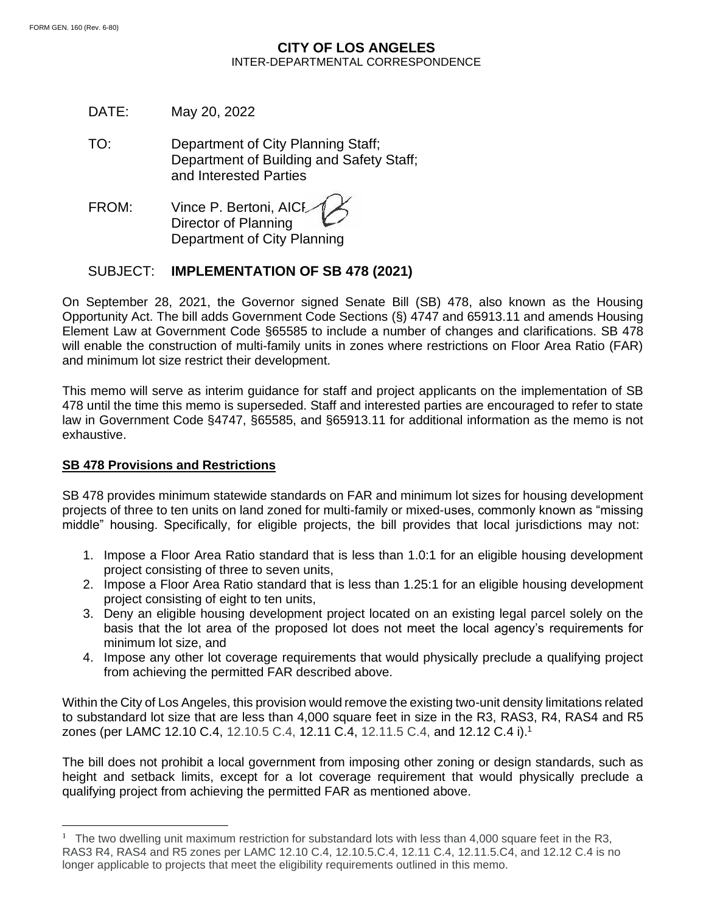## **CITY OF LOS ANGELES** INTER-DEPARTMENTAL CORRESPONDENCE

DATE: May 20, 2022

TO: Department of City Planning Staff; Department of Building and Safety Staff; and Interested Parties

FROM: Vince P. Bertoni, AICI Director of Planning Department of City Planning

# SUBJECT: **IMPLEMENTATION OF SB 478 (2021)**

On September 28, 2021, the Governor signed Senate Bill (SB) 478, also known as the Housing Opportunity Act. The bill adds Government Code Sections (§) 4747 and 65913.11 and amends Housing Element Law at Government Code §65585 to include a number of changes and clarifications. SB 478 will enable the construction of multi-family units in zones where restrictions on Floor Area Ratio (FAR) and minimum lot size restrict their development.

This memo will serve as interim guidance for staff and project applicants on the implementation of SB 478 until the time this memo is superseded. Staff and interested parties are encouraged to refer to state law in Government Code §4747, §65585, and §65913.11 for additional information as the memo is not exhaustive.

### **SB 478 Provisions and Restrictions**

SB 478 provides minimum statewide standards on FAR and minimum lot sizes for housing development projects of three to ten units on land zoned for multi-family or mixed-uses, commonly known as "missing middle" housing. Specifically, for eligible projects, the bill provides that local jurisdictions may not:

- 1. Impose a Floor Area Ratio standard that is less than 1.0:1 for an eligible housing development project consisting of three to seven units,
- 2. Impose a Floor Area Ratio standard that is less than 1.25:1 for an eligible housing development project consisting of eight to ten units,
- 3. Deny an eligible housing development project located on an existing legal parcel solely on the basis that the lot area of the proposed lot does not meet the local agency's requirements for minimum lot size, and
- 4. Impose any other lot coverage requirements that would physically preclude a qualifying project from achieving the permitted FAR described above.

Within the City of Los Angeles, this provision would remove the existing two-unit density limitations related to substandard lot size that are less than 4,000 square feet in size in the R3, RAS3, R4, RAS4 and R5 zones (per LAMC 12.10 C.4, 12.10.5 C.4, 12.11 C.4, 12.11.5 C.4, and 12.12 C.4 i). 1

The bill does not prohibit a local government from imposing other zoning or design standards, such as height and setback limits, except for a lot coverage requirement that would physically preclude a qualifying project from achieving the permitted FAR as mentioned above.

<sup>&</sup>lt;sup>1</sup> The two dwelling unit maximum restriction for substandard lots with less than 4,000 square feet in the R3, RAS3 R4, RAS4 and R5 zones per LAMC 12.10 C.4, 12.10.5.C.4, 12.11 C.4, 12.11.5.C4, and 12.12 C.4 is no longer applicable to projects that meet the eligibility requirements outlined in this memo.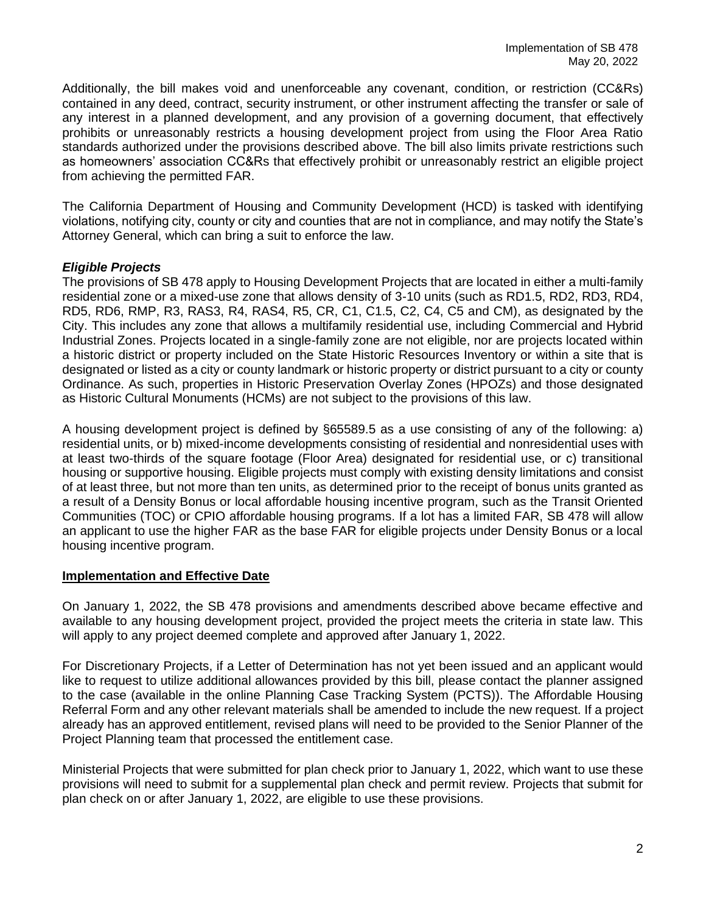Additionally, the bill makes void and unenforceable any covenant, condition, or restriction (CC&Rs) contained in any deed, contract, security instrument, or other instrument affecting the transfer or sale of any interest in a planned development, and any provision of a governing document, that effectively prohibits or unreasonably restricts a housing development project from using the Floor Area Ratio standards authorized under the provisions described above. The bill also limits private restrictions such as homeowners' association CC&Rs that effectively prohibit or unreasonably restrict an eligible project from achieving the permitted FAR.

The California Department of Housing and Community Development (HCD) is tasked with identifying violations, notifying city, county or city and counties that are not in compliance, and may notify the State's Attorney General, which can bring a suit to enforce the law.

### *Eligible Projects*

The provisions of SB 478 apply to Housing Development Projects that are located in either a multi-family residential zone or a mixed-use zone that allows density of 3-10 units (such as RD1.5, RD2, RD3, RD4, RD5, RD6, RMP, R3, RAS3, R4, RAS4, R5, CR, C1, C1.5, C2, C4, C5 and CM), as designated by the City. This includes any zone that allows a multifamily residential use, including Commercial and Hybrid Industrial Zones. Projects located in a single-family zone are not eligible, nor are projects located within a historic district or property included on the State Historic Resources Inventory or within a site that is designated or listed as a city or county landmark or historic property or district pursuant to a city or county Ordinance. As such, properties in Historic Preservation Overlay Zones (HPOZs) and those designated as Historic Cultural Monuments (HCMs) are not subject to the provisions of this law.

A housing development project is defined by §65589.5 as a use consisting of any of the following: a) residential units, or b) mixed-income developments consisting of residential and nonresidential uses with at least two-thirds of the square footage (Floor Area) designated for residential use, or c) transitional housing or supportive housing. Eligible projects must comply with existing density limitations and consist of at least three, but not more than ten units, as determined prior to the receipt of bonus units granted as a result of a Density Bonus or local affordable housing incentive program, such as the Transit Oriented Communities (TOC) or CPIO affordable housing programs. If a lot has a limited FAR, SB 478 will allow an applicant to use the higher FAR as the base FAR for eligible projects under Density Bonus or a local housing incentive program.

### **Implementation and Effective Date**

On January 1, 2022, the SB 478 provisions and amendments described above became effective and available to any housing development project, provided the project meets the criteria in state law. This will apply to any project deemed complete and approved after January 1, 2022.

For Discretionary Projects, if a Letter of Determination has not yet been issued and an applicant would like to request to utilize additional allowances provided by this bill, please contact the planner assigned to the case (available in the online Planning Case Tracking System (PCTS)). The Affordable Housing Referral Form and any other relevant materials shall be amended to include the new request. If a project already has an approved entitlement, revised plans will need to be provided to the Senior Planner of the Project Planning team that processed the entitlement case.

Ministerial Projects that were submitted for plan check prior to January 1, 2022, which want to use these provisions will need to submit for a supplemental plan check and permit review. Projects that submit for plan check on or after January 1, 2022, are eligible to use these provisions.